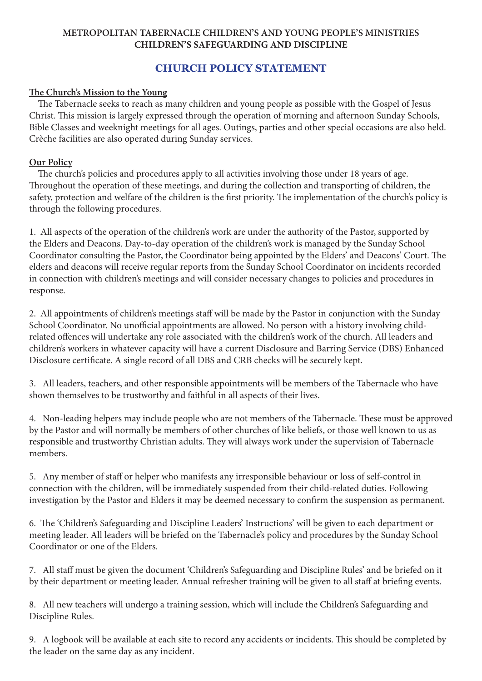## **METROPOLITAN TABERNACLE CHILDREN'S AND YOUNG PEOPLE'S MINISTRIES CHILDREN'S SAFEGUARDING AND DISCIPLINE**

## **CHURCH POLICY STATEMENT**

## **The Church's Mission to the Young**

 The Tabernacle seeks to reach as many children and young people as possible with the Gospel of Jesus Christ. This mission is largely expressed through the operation of morning and afternoon Sunday Schools, Bible Classes and weeknight meetings for all ages. Outings, parties and other special occasions are also held. Crèche facilities are also operated during Sunday services.

## **Our Policy**

 The church's policies and procedures apply to all activities involving those under 18 years of age. Throughout the operation of these meetings, and during the collection and transporting of children, the safety, protection and welfare of the children is the first priority. The implementation of the church's policy is through the following procedures.

1. All aspects of the operation of the children's work are under the authority of the Pastor, supported by the Elders and Deacons. Day-to-day operation of the children's work is managed by the Sunday School Coordinator consulting the Pastor, the Coordinator being appointed by the Elders' and Deacons' Court. The elders and deacons will receive regular reports from the Sunday School Coordinator on incidents recorded in connection with children's meetings and will consider necessary changes to policies and procedures in response.

2. All appointments of children's meetings staff will be made by the Pastor in conjunction with the Sunday School Coordinator. No unofficial appointments are allowed. No person with a history involving childrelated offences will undertake any role associated with the children's work of the church. All leaders and children's workers in whatever capacity will have a current Disclosure and Barring Service (DBS) Enhanced Disclosure certificate. A single record of all DBS and CRB checks will be securely kept.

3. All leaders, teachers, and other responsible appointments will be members of the Tabernacle who have shown themselves to be trustworthy and faithful in all aspects of their lives.

4. Non-leading helpers may include people who are not members of the Tabernacle. These must be approved by the Pastor and will normally be members of other churches of like beliefs, or those well known to us as responsible and trustworthy Christian adults. They will always work under the supervision of Tabernacle members.

5. Any member of staff or helper who manifests any irresponsible behaviour or loss of self-control in connection with the children, will be immediately suspended from their child-related duties. Following investigation by the Pastor and Elders it may be deemed necessary to confirm the suspension as permanent.

6. The 'Children's Safeguarding and Discipline Leaders' Instructions' will be given to each department or meeting leader. All leaders will be briefed on the Tabernacle's policy and procedures by the Sunday School Coordinator or one of the Elders.

7. All staff must be given the document 'Children's Safeguarding and Discipline Rules' and be briefed on it by their department or meeting leader. Annual refresher training will be given to all staff at briefing events.

8. All new teachers will undergo a training session, which will include the Children's Safeguarding and Discipline Rules.

9. A logbook will be available at each site to record any accidents or incidents. This should be completed by the leader on the same day as any incident.